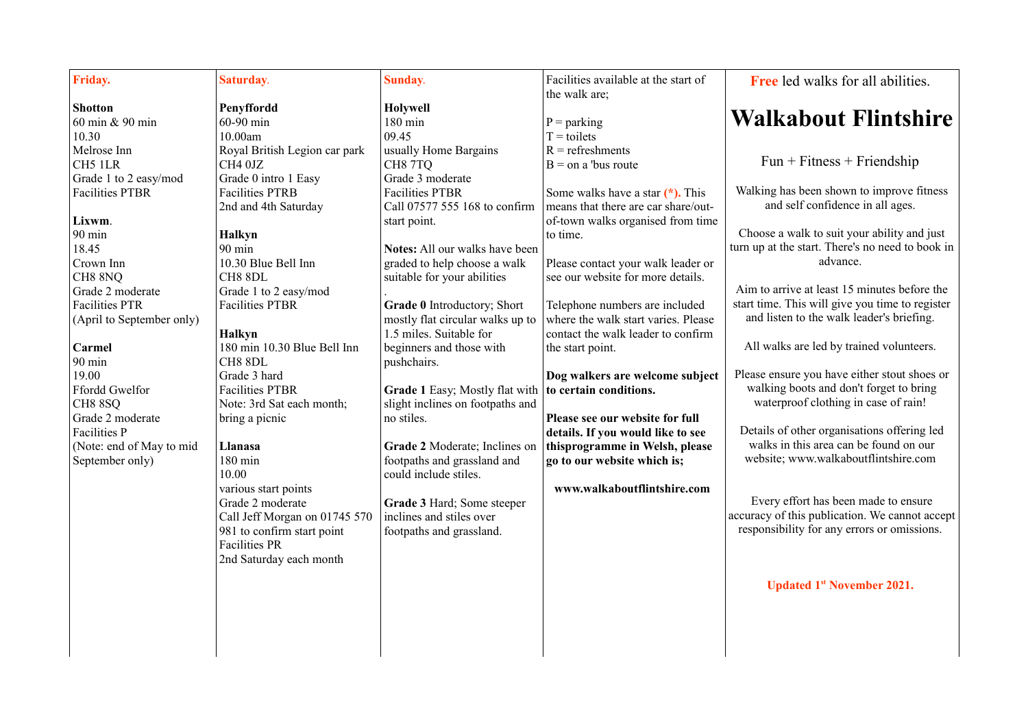| Friday.                   | Saturday.                     | Sunday.                                                 | Facilities available at the start of<br>the walk are; | Free led walks for all abilities.                |
|---------------------------|-------------------------------|---------------------------------------------------------|-------------------------------------------------------|--------------------------------------------------|
| <b>Shotton</b>            | Penyffordd                    | Holywell                                                |                                                       |                                                  |
| 60 min & 90 min           | 60-90 min                     | 180 min                                                 | $P =$ parking                                         | <b>Walkabout Flintshire</b>                      |
| 10.30                     | 10.00am                       | 09.45                                                   | $T =$ toilets                                         |                                                  |
| Melrose Inn               | Royal British Legion car park | usually Home Bargains                                   | $R =$ refreshments                                    |                                                  |
| CH5 1LR                   | CH4 0JZ                       | CH87TQ                                                  | $B =$ on a 'bus route                                 | $Fun + \text{Fitness} + \text{Friendship}$       |
| Grade 1 to 2 easy/mod     | Grade 0 intro 1 Easy          | Grade 3 moderate                                        |                                                       |                                                  |
| <b>Facilities PTBR</b>    | <b>Facilities PTRB</b>        | <b>Facilities PTBR</b>                                  | Some walks have a star $(*).$ This                    | Walking has been shown to improve fitness        |
|                           | 2nd and 4th Saturday          | Call 07577 555 168 to confirm                           | means that there are car share/out-                   | and self confidence in all ages.                 |
| Lixwm.                    |                               | start point.                                            | of-town walks organised from time                     |                                                  |
| 90 min                    | <b>Halkyn</b>                 |                                                         | to time.                                              | Choose a walk to suit your ability and just      |
| 18.45                     | 90 min                        | Notes: All our walks have been                          |                                                       | turn up at the start. There's no need to book in |
| Crown Inn                 | 10.30 Blue Bell Inn           | graded to help choose a walk                            | Please contact your walk leader or                    | advance.                                         |
| CH8 8NQ                   | CH8 8DL                       | suitable for your abilities                             | see our website for more details.                     |                                                  |
| Grade 2 moderate          | Grade 1 to 2 easy/mod         |                                                         |                                                       | Aim to arrive at least 15 minutes before the     |
| <b>Facilities PTR</b>     | <b>Facilities PTBR</b>        | Grade 0 Introductory; Short                             | Telephone numbers are included                        | start time. This will give you time to register  |
| (April to September only) |                               | mostly flat circular walks up to                        | where the walk start varies. Please                   | and listen to the walk leader's briefing.        |
|                           | <b>Halkyn</b>                 | 1.5 miles. Suitable for                                 | contact the walk leader to confirm                    |                                                  |
| Carmel                    | 180 min 10.30 Blue Bell Inn   | beginners and those with                                | the start point.                                      | All walks are led by trained volunteers.         |
| 90 min                    | CH8 8DL                       | pushchairs.                                             |                                                       |                                                  |
| 19.00                     | Grade 3 hard                  |                                                         | Dog walkers are welcome subject                       | Please ensure you have either stout shoes or     |
| Ffordd Gwelfor            | <b>Facilities PTBR</b>        | Grade 1 Easy; Mostly flat with   to certain conditions. |                                                       | walking boots and don't forget to bring          |
| CH88SQ                    | Note: 3rd Sat each month;     | slight inclines on footpaths and                        |                                                       | waterproof clothing in case of rain!             |
| Grade 2 moderate          | bring a picnic                | no stiles.                                              | Please see our website for full                       |                                                  |
| <b>Facilities P</b>       |                               |                                                         | details. If you would like to see                     | Details of other organisations offering led      |
| (Note: end of May to mid  | Llanasa                       | Grade 2 Moderate; Inclines on                           | thisprogramme in Welsh, please                        | walks in this area can be found on our           |
| September only)           | 180 min                       | footpaths and grassland and                             | go to our website which is;                           | website; www.walkaboutflintshire.com             |
|                           | 10.00                         | could include stiles.                                   |                                                       |                                                  |
|                           | various start points          |                                                         | www.walkaboutflintshire.com                           |                                                  |
|                           | Grade 2 moderate              | Grade 3 Hard; Some steeper                              |                                                       | Every effort has been made to ensure             |
|                           | Call Jeff Morgan on 01745 570 | inclines and stiles over                                |                                                       | accuracy of this publication. We cannot accept   |
|                           | 981 to confirm start point    | footpaths and grassland.                                |                                                       | responsibility for any errors or omissions.      |
|                           | <b>Facilities PR</b>          |                                                         |                                                       |                                                  |
|                           | 2nd Saturday each month       |                                                         |                                                       |                                                  |
|                           |                               |                                                         |                                                       |                                                  |
|                           |                               |                                                         |                                                       | <b>Updated 1st November 2021.</b>                |
|                           |                               |                                                         |                                                       |                                                  |
|                           |                               |                                                         |                                                       |                                                  |
|                           |                               |                                                         |                                                       |                                                  |
|                           |                               |                                                         |                                                       |                                                  |